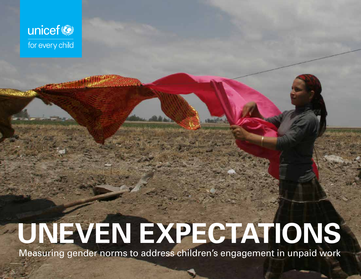

# **UNEVEN EXPECTATIONS**

Measuring gender norms to address children's engagement in unpaid work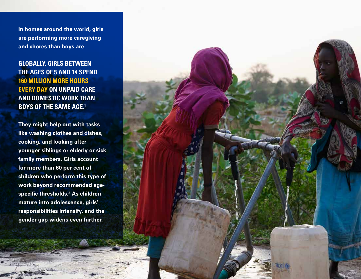**In homes around the world, girls are performing more caregiving and chores than boys are.** 

**GLOBALLY, GIRLS BETWEEN THE AGES OF 5 AND 14 SPEND 160 MILLION MORE HOURS EVERY DAY ON UNPAID CARE AND DOMESTIC WORK THAN BOYS OF THE SAME AGE.1**

**They might help out with tasks like washing clothes and dishes, cooking, and looking after younger siblings or elderly or sick family members. Girls account for more than 60 per cent of children who perform this type of work beyond recommended agespecific thresholds.2 As children mature into adolescence, girls' responsibilities intensify, and the gender gap widens even further.** 

**02 UNEVEN EXPECTATIONS**

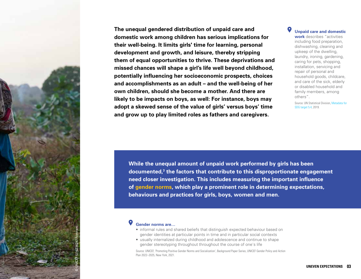

**The unequal gendered distribution of unpaid care and domestic work among children has serious implications for their well-being. It limits girls' time for learning, personal development and growth, and leisure, thereby stripping them of equal opportunities to thrive. These deprivations and missed chances will shape a girl's life well beyond childhood, potentially influencing her socioeconomic prospects, choices and accomplishments as an adult – and the well-being of her own children, should she become a mother. And there are likely to be impacts on boys, as well: For instance, boys may adopt a skewed sense of the value of girls' versus boys' time and grow up to play limited roles as fathers and caregivers.**

**Unpaid care and domestic work** describes "activities including food preparation, dishwashing, cleaning and upkeep of the dwelling, laundry, ironing, gardening, caring for pets, shopping, installation, servicing and repair of personal and household goods, childcare, and care of the sick, elderly or disabled household and family members, among others".

Source: UN Statistical Division, [Metadata for](https://unstats.un.org/sdgs/metadata/files/Metadata-05-04-01.pdf)  [SDG target 5.4,](https://unstats.un.org/sdgs/metadata/files/Metadata-05-04-01.pdf) 2019.

**While the unequal amount of unpaid work performed by girls has been documented,3 the factors that contribute to this disproportionate engagement need closer investigation. This includes measuring the important influence of gender norms, which play a prominent role in determining expectations, behaviours and practices for girls, boys, women and men.**

#### **Gender norms are…**

- informal rules and shared beliefs that distinguish expected behaviour based on gender identities at particular points in time and in particular social contexts
- usually internalized during childhood and adolescence and continue to shape gender stereotyping throughout throughout the course of one's life

Source: UNICEF, 'Promoting Positive Gender Norms and Socialization', Background Paper Series, UNICEF Gender Policy and Action Plan 2022–2025, New York, 2021.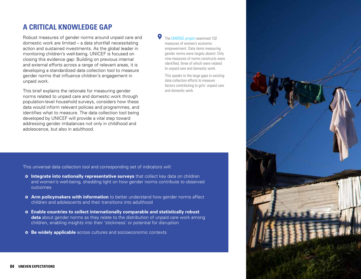### **A CRITICAL KNOWLEDGE GAP**

Robust measures of gender norms around unpaid care and domestic work are limited – a data shortfall necessitating action and sustained investments. As the global leader in monitoring children's well-being, UNICEF is focused on closing this evidence gap: Building on previous internal and external efforts across a range of relevant areas, it is developing a standardized data collection tool to measure gender norms that influence children's engagement in unpaid work.

This brief explains the rationale for measuring gender norms related to unpaid care and domestic work through population-level household surveys, considers how these data would inform relevant policies and programmes, and identifies what to measure. The data collection tool being developed by UNICEF will provide a vital step toward addressing gender imbalances not only in childhood and adolescence, but also in adulthood.

The [EMERGE project](https://emerge.ucsd.edu/wp-content/uploads/2020/06/agency-and-social-norms-roadmap.pdf) examined 102 measures of women's economic empowerment. Data items measuring gender norms were largely absent: Only nine measures of norms constructs were identified, three of which were related to unpaid care and domestic work.

This speaks to the large gaps in existing data collection efforts to measure factors contributing to girls' unpaid care and domestic work.

This universal data collection tool and corresponding set of indicators will:

- **o** Integrate into nationally representative surveys that collect key data on children and women's well-being, shedding light on how gender norms contribute to observed outcomes
- **Arm policymakers with information** to better understand how gender norms affect children and adolescents and their transitions into adulthood
- **Enable countries to collect internationally comparable and statistically robust data** about gender norms as they relate to the distribution of unpaid care work among children, enabling insights into their 'stickiness' or potential for disruption
- **b** Be widely applicable across cultures and socioeconomic contexts

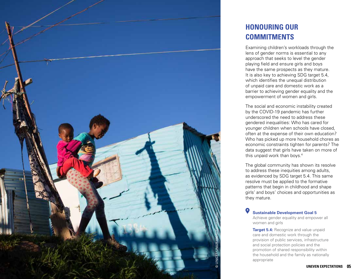

## **HONOURING OUR COMMITMENTS**

Examining children's workloads through the lens of gender norms is essential to any approach that seeks to level the gender playing field and ensure girls and boys have the same prospects as they mature. It is also key to achieving SDG target 5.4, which identifies the unequal distribution of unpaid care and domestic work as a barrier to achieving gender equality and the empowerment of women and girls.

The social and economic instability created by the COVID-19 pandemic has further underscored the need to address these gendered inequalities: Who has cared for younger children when schools have closed, often at the expense of their own education? Who has picked up more household chores as economic constraints tighten for parents? The data suggest that girls have taken on more of this unpaid work than boys.4

The global community has shown its resolve to address these inequities among adults, as evidenced by SDG target 5.4. This same resolve must be applied to the formative patterns that begin in childhood and shape girls' and boys' choices and opportunities as they mature.

#### **Sustainable Development Goal 5**

Achieve gender equality and empower all women and girls

**Target 5.4:** Recognize and value unpaid care and domestic work through the provision of public services, infrastructure and social protection policies and the promotion of shared responsibility within the household and the family as nationally appropriate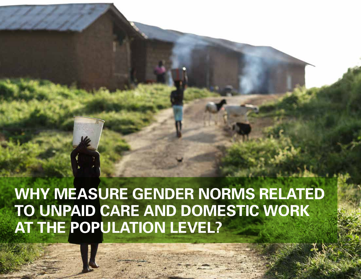# **WHY MEASURE GENDER NORMS RELATED TO UNPAID CARE AND DOMESTIC WORK AT THE POPULATION LEVEL?**

**06 UNEVEN EXPECTATIONS**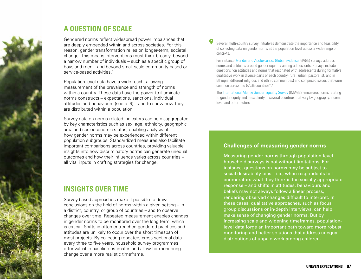

#### **A QUESTION OF SCALE**

Gendered norms reflect widespread power imbalances that are deeply embedded within and across societies. For this reason, gender transformation relies on longer-term, societal change. This means interventions must think broadly, beyond a narrow number of individuals – such as a specific group of boys and men – and beyond small-scale community-based or service-based activities.<sup>5</sup>

Population-level data have a wide reach, allowing measurement of the prevalence and strength of norms within a country. These data have the power to illuminate norms constructs – expectations, sanctions, individual attitudes and behaviours (see p. 9) – and to show how they are distributed within a population.

Survey data on norms-related indicators can be disaggregated by key characteristics such as sex, age, ethnicity, geographic area and socioeconomic status, enabling analysis of how gender norms may be experienced within different population subgroups. Standardized measures also facilitate important comparisons across countries, providing valuable insights into how discriminatory norms can generate unequal outcomes and how their influence varies across countries – all vital inputs in crafting strategies for change.

### **INSIGHTS OVER TIME**

Survey-based approaches make it possible to draw conclusions on the hold of norms within a given setting – in a district, country, or group of countries – and to observe changes over time. Repeated measurement enables changes in gender norms to be monitored over the long term, which is critical: Shifts in often entrenched gendered practices and attitudes are unlikely to occur over the short timespan of most projects. By collecting repeated, cross-sectional data every three to five years, household survey programmes offer valuable baseline estimates and allow for monitoring change over a more realistic timeframe.

Several multi-country survey initiatives demonstrate the importance and feasibility of collecting data on gender norms at the population level across a wide range of contexts.

For instance, [Gender and Adolescence: Global Evidence](https://www.gage.odi.org/) (GAGE) surveys address norms and attitudes around gender equality among adolescents. Surveys include questions "on attitudes and norms that resonated with adolescents during formative qualitative work in diverse parts of each country (rural, urban, pastoralist, and in Ethiopia, different religious and ethnic communities) and comprised issues that were common across the GAGE countries".6

The [International Men & Gender Equality Survey](https://promundoglobal.org/programs/international-men-and-gender-equality-survey-images/) (IMAGES) measures norms relating to gender equity and masculinity in several countries that vary by geography, income level and other factors.

#### **Challenges of measuring gender norms**

Measuring gender norms through population-level household surveys is not without limitations. For instance, questions on norms may be subject to social desirability bias – i.e., when respondents tell enumerators what they think is the socially appropriate response – and shifts in attitudes, behaviours and beliefs may not always follow a linear process, rendering observed changes difficult to interpret. In these cases, qualitative approaches, such as focus group discussions or in-depth interviews, can help make sense of changing gender norms. But by increasing scale and widening timeframes, populationlevel data forge an important path toward more robust monitoring and better solutions that address unequal distributions of unpaid work among children.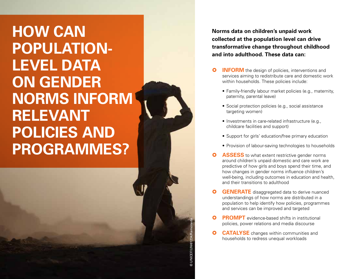# **HOW CAN POPULATION-LEVEL DATA ON GENDER NORMS INFORM RELEVANT POLICIES AND PROGRAMMES?**

**Norms data on children's unpaid work collected at the population level can drive transformative change throughout childhood and into adulthood. These data can:**

- **INFORM** the design of policies, interventions and services aiming to redistribute care and domestic work within households. These policies include:<br>• Family-friendly labour market policies (e.g., maternity,
	- paternity, parental leave)
	- Social protection policies (e.g., social assistance targeting women)
	- Investments in care-related infrastructure (e.g., childcare facilities and support)
	- Support for girls' education/free primary education
	- Provision of labour-saving technologies to households
- **ASSESS** to what extent restrictive gender norms around children's unpaid domestic and care work are predictive of how girls and boys spend their time, and how changes in gender norms influence children's well-being, including outcomes in education and health, and their transitions to adulthood
- **GENERATE** disaggregated data to derive nuanced understandings of how norms are distributed in a population to help identify how policies, programmes and services can be improved and targeted
- **PROMPT** evidence-based shifts in institutional policies, power relations and media discourse
- **CATALYSE** changes within communities and households to redress unequal workloads

© UNICEF/UNI61234/RamonedaDUNICEF/UNI61234/Ra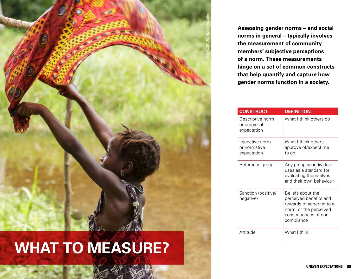

# **WHAT TO MEASURE?**

**Assessing gender norms – and social norms in general – typically involves the measurement of community members' subjective perceptions of a norm. These measurements hinge on a set of common constructs that help quantify and capture how gender norms function in a society.** 

|  | <b>CONSTRUCT</b>                                | <b>DEFINITION</b>                                                                                                                       |
|--|-------------------------------------------------|-----------------------------------------------------------------------------------------------------------------------------------------|
|  | Descriptive norm<br>or empirical<br>expectation | What I think others do                                                                                                                  |
|  | Injunctive norm<br>or normative<br>expectation  | What I think others<br>approve of/expect me<br>to do                                                                                    |
|  | Reference group                                 | Any group an individual<br>uses as a standard for<br>evaluating themselves<br>and their own behaviour                                   |
|  | Sanction (positive/<br>negative)                | Beliefs about the<br>perceived benefits and<br>rewards of adhering to a<br>norm, or the perceived<br>consequences of non-<br>compliance |
|  | Attitude                                        | What I think                                                                                                                            |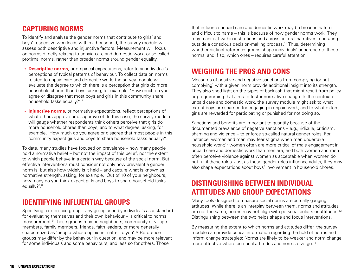#### **CAPTURING NORMS**

To identify and analyse the gender norms that contribute to girls' and boys' respective workloads within a household, the survey module will assess both descriptive and injunctive factors. Measurement will focus on norms directly relating to unpaid care and domestic work, or so-called proximal norms, rather than broader norms around gender equality.

- **• Descriptive norms**, or empirical expectations, refer to an individual's perceptions of typical patterns of behaviour. To collect data on norms related to unpaid care and domestic work, the survey module will evaluate the degree to which there is a perception that girls do more household chores than boys, asking, for example, 'How much do you agree or disagree that most boys and girls in this community share household tasks equally?'.7
- **• Injunctive norms**, or normative expectations, reflect perceptions of what others approve or disapprove of. In this case, the survey module will gauge whether respondents think others perceive that girls do more household chores than boys, and to what degree, asking, for example, 'How much do you agree or disagree that most people in this community expect girls and boys to share household tasks equally?'.

To date, many studies have focused on prevalence – how many people hold a normative belief – but not the impact of this belief, nor the extent to which people behave in a certain way because of the social norm. But effective interventions must consider not only how prevalent a gender norm is, but also how widely is it held – and capture what is known as normative strength, asking, for example, 'Out of 10 of your neighbours, how many do you think expect girls and boys to share household tasks equally?'.<sup>8</sup>

### **IDENTIFYING INFLUENTIAL GROUPS**

Specifying a reference group – any group used by individuals as a standard for evaluating themselves and their own behaviour – is critical to norms measurement.<sup>9</sup> These groups may be neighbours, community or village members, family members, friends, faith leaders, or more generally characterized as 'people whose opinions matter to you'.10 Reference groups may differ by the behaviour in question, and may be more relevant for some individuals and some behaviours, and less so for others. Those

that influence unpaid care and domestic work may be broad in nature and difficult to name – this is because of how gender norms work: They may manifest within institutions and across cultural narratives, operating outside a conscious decision-making process.11 Thus, determining whether distinct reference groups shape individuals' adherence to these norms, and if so, which ones – requires careful attention.

#### **WEIGHING THE PROS AND CONS**

Measures of positive and negative sanctions from complying (or not complying) with a given norm provide additional insight into its strength. They also shed light on the types of backlash that might result from policy or programming that aims to foster normative change. In the context of unpaid care and domestic work, the survey module might ask to what extent boys are shamed for engaging in unpaid work, and to what extent girls are rewarded for participating or punished for not doing so.

Sanctions and benefits are important to quantify because of the documented prevalence of negative sanctions – e.g., ridicule, criticism, shaming and violence – to enforce so-called natural gender roles. For instance, women and men may fear stigma when men undertake household work;12 women often are more critical of male engagement in unpaid care and domestic work than men are, and both women and men often perceive violence against women as acceptable when women do not fulfil these roles. Just as these gender roles influence adults, they may also shape expectations about boys' involvement in household chores.

### **DISTINGUISHING BETWEEN INDIVIDUAL ATTITUDES AND GROUP EXPECTATIONS**

Many tools designed to measure social norms are actually gauging attitudes. While there is an interplay between them, norms and attitudes are not the same; norms may not align with personal beliefs or attitudes.<sup>13</sup> Distinguishing between the two helps shape and focus interventions.

By measuring the extent to which norms and attitudes differ, the survey module can provide critical information regarding the hold of norms and inform change strategies: Norms are likely to be weaker and norm change more effective where personal attitudes and norms diverge.<sup>14</sup>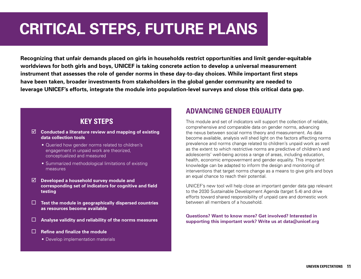# **CRITICAL STEPS, FUTURE PLANS**

**Recognizing that unfair demands placed on girls in households restrict opportunities and limit gender-equitable worldviews for both girls and boys, UNICEF is taking concrete action to develop a universal measurement instrument that assesses the role of gender norms in these day-to-day choices. While important first steps have been taken, broader investments from stakeholders in the global gender community are needed to leverage UNICEF's efforts, integrate the module into population-level surveys and close this critical data gap.**

#### **KEY STEPS**

- **Conducted a literature review and mapping of existing data collection tools** 
	- Queried how gender norms related to children's engagement in unpaid work are theorized, conceptualized and measured
	- Summarized methodological limitations of existing measures
- **Developed a household survey module and corresponding set of indicators for cognitive and field testing**
- **Test the module in geographically dispersed countries as resources become available**
- **Analyse validity and reliability of the norms measures**
- **Refine and finalize the module**
	- Develop implementation materials

### **ADVANCING GENDER EQUALITY**

This module and set of indicators will support the collection of reliable, comprehensive and comparable data on gender norms, advancing the nexus between social norms theory and measurement. As data become available, analysis will shed light on the factors affecting norms prevalence and norms change related to children's unpaid work as well as the extent to which restrictive norms are predictive of children's and adolescents' well-being across a range of areas, including education, health, economic empowerment and gender equality. This important knowledge can be adapted to inform the design and monitoring of interventions that target norms change as a means to give girls and boys an equal chance to reach their potential.

UNICEF's new tool will help close an important gender data gap relevant to the 2030 Sustainable Development Agenda (target 5.4) and drive efforts toward shared responsibility of unpaid care and domestic work between all members of a household.

#### **Questions? Want to know more? Get involved? Interested in supporting this important work? Write us at data@unicef.org**